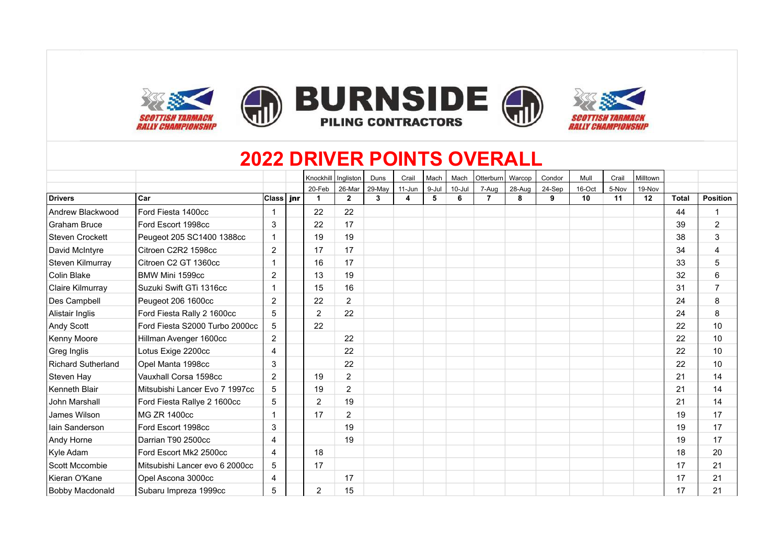

## **2022 DRIVER POINTS OVERALL**

|                        |                                |                | Knockhill            | Ingliston      | Duns   | Crail  | Mach  | Mach       | Otterburn      | Warcop | Condor | Mull   | Crail | Milltown |              |                 |
|------------------------|--------------------------------|----------------|----------------------|----------------|--------|--------|-------|------------|----------------|--------|--------|--------|-------|----------|--------------|-----------------|
|                        |                                |                | 20-Feb               | 26-Mar         | 29-May | 11-Jun | 9-Jul | $10 -$ Jul | 7-Aug          | 28-Aug | 24-Sep | 16-Oct | 5-Nov | 19-Nov   |              |                 |
| <b>Drivers</b>         | Car                            | Class   jnr    | $\blacktriangleleft$ | $\mathbf{2}$   | 3      | 4      | 5     | 6          | $\overline{7}$ | 8      | 9      | 10     | 11    | 12       | <b>Total</b> | <b>Position</b> |
| Andrew Blackwood       | Ford Fiesta 1400cc             |                | 22                   | 22             |        |        |       |            |                |        |        |        |       |          | 44           | $\mathbf{1}$    |
| <b>Graham Bruce</b>    | Ford Escort 1998cc             | 3              | 22                   | 17             |        |        |       |            |                |        |        |        |       |          | 39           | $\overline{2}$  |
| Steven Crockett        | Peugeot 205 SC1400 1388cc      |                | 19                   | 19             |        |        |       |            |                |        |        |        |       |          | 38           | 3               |
| David McIntyre         | Citroen C2R2 1598cc            | $\overline{2}$ | 17                   | 17             |        |        |       |            |                |        |        |        |       |          | 34           | 4               |
| Steven Kilmurray       | Citroen C2 GT 1360cc           |                | 16                   | 17             |        |        |       |            |                |        |        |        |       |          | 33           | 5               |
| Colin Blake            | BMW Mini 1599cc                | 2              | 13                   | 19             |        |        |       |            |                |        |        |        |       |          | 32           | 6               |
| Claire Kilmurray       | Suzuki Swift GTi 1316cc        |                | 15                   | 16             |        |        |       |            |                |        |        |        |       |          | 31           | $\overline{7}$  |
| Des Campbell           | Peugeot 206 1600cc             | $\overline{2}$ | 22                   | $\overline{2}$ |        |        |       |            |                |        |        |        |       |          | 24           | 8               |
| Alistair Inglis        | Ford Fiesta Rally 2 1600cc     | 5              | 2                    | 22             |        |        |       |            |                |        |        |        |       |          | 24           | 8               |
| Andy Scott             | Ford Fiesta S2000 Turbo 2000cc | 5              | 22                   |                |        |        |       |            |                |        |        |        |       |          | 22           | 10              |
| Kenny Moore            | Hillman Avenger 1600cc         | $\overline{2}$ |                      | 22             |        |        |       |            |                |        |        |        |       |          | 22           | 10              |
| Greg Inglis            | Lotus Exige 2200cc             | 4              |                      | 22             |        |        |       |            |                |        |        |        |       |          | 22           | 10              |
| Richard Sutherland     | Opel Manta 1998cc              | 3              |                      | 22             |        |        |       |            |                |        |        |        |       |          | 22           | 10              |
| Steven Hay             | Vauxhall Corsa 1598cc          | $\overline{2}$ | 19                   | $\overline{2}$ |        |        |       |            |                |        |        |        |       |          | 21           | 14              |
| Kenneth Blair          | Mitsubishi Lancer Evo 7 1997cc | 5              | 19                   | $\overline{2}$ |        |        |       |            |                |        |        |        |       |          | 21           | 14              |
| John Marshall          | Ford Fiesta Rallye 2 1600cc    | 5              | 2                    | 19             |        |        |       |            |                |        |        |        |       |          | 21           | 14              |
| James Wilson           | <b>MG ZR 1400cc</b>            |                | 17                   | $\overline{2}$ |        |        |       |            |                |        |        |        |       |          | 19           | 17              |
| Iain Sanderson         | Ford Escort 1998cc             | 3              |                      | 19             |        |        |       |            |                |        |        |        |       |          | 19           | 17              |
| Andy Horne             | Darrian T90 2500cc             | 4              |                      | 19             |        |        |       |            |                |        |        |        |       |          | 19           | 17              |
| Kyle Adam              | Ford Escort Mk2 2500cc         | 4              | 18                   |                |        |        |       |            |                |        |        |        |       |          | 18           | 20              |
| Scott Mccombie         | Mitsubishi Lancer evo 6 2000cc | 5              | 17                   |                |        |        |       |            |                |        |        |        |       |          | 17           | 21              |
| Kieran O'Kane          | Opel Ascona 3000cc             | 4              |                      | 17             |        |        |       |            |                |        |        |        |       |          | 17           | 21              |
| <b>Bobby Macdonald</b> | Subaru Impreza 1999cc          | 5              | $\overline{2}$       | 15             |        |        |       |            |                |        |        |        |       |          | 17           | 21              |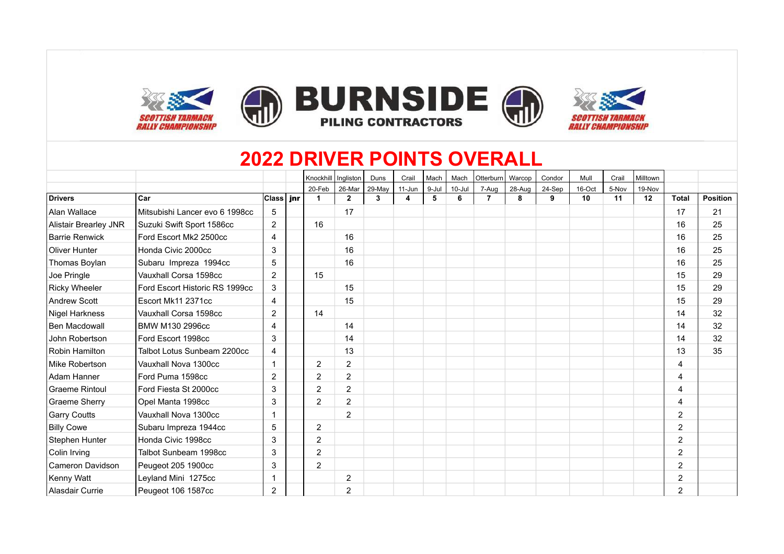

## **2022 DRIVER POINTS OVERALL**

|                              |                                |                | Knockhill      | Ingliston      | Duns         | Crail  | Mach  | Mach       | Otterburn      | Warcop | Condor | Mull   | Crail | Milltown |                |                 |
|------------------------------|--------------------------------|----------------|----------------|----------------|--------------|--------|-------|------------|----------------|--------|--------|--------|-------|----------|----------------|-----------------|
|                              |                                |                | 20-Feb         | 26-Mar         | 29-May       | 11-Jun | 9-Jul | $10 -$ Jul | 7-Aug          | 28-Aug | 24-Sep | 16-Oct | 5-Nov | 19-Nov   |                |                 |
| <b>Drivers</b>               | Car                            | Class   jnr    | -1             | $\overline{2}$ | $\mathbf{3}$ | 4      | 5     | 6          | $\overline{7}$ | 8      | 9      | 10     | 11    | 12       | <b>Total</b>   | <b>Position</b> |
| Alan Wallace                 | Mitsubishi Lancer evo 6 1998cc | 5              |                | 17             |              |        |       |            |                |        |        |        |       |          | 17             | 21              |
| <b>Alistair Brearley JNR</b> | Suzuki Swift Sport 1586cc      | $\overline{2}$ | 16             |                |              |        |       |            |                |        |        |        |       |          | 16             | 25              |
| <b>Barrie Renwick</b>        | Ford Escort Mk2 2500cc         | $\overline{4}$ |                | 16             |              |        |       |            |                |        |        |        |       |          | 16             | 25              |
| <b>Oliver Hunter</b>         | Honda Civic 2000cc             | 3              |                | 16             |              |        |       |            |                |        |        |        |       |          | 16             | 25              |
| <b>Thomas Boylan</b>         | Subaru Impreza 1994cc          | 5              |                | 16             |              |        |       |            |                |        |        |        |       |          | 16             | 25              |
| Joe Pringle                  | Vauxhall Corsa 1598cc          | $\overline{2}$ | 15             |                |              |        |       |            |                |        |        |        |       |          | 15             | 29              |
| Ricky Wheeler                | Ford Escort Historic RS 1999cc | 3              |                | 15             |              |        |       |            |                |        |        |        |       |          | 15             | 29              |
| <b>Andrew Scott</b>          | Escort Mk11 2371cc             | 4              |                | 15             |              |        |       |            |                |        |        |        |       |          | 15             | 29              |
| Nigel Harkness               | Vauxhall Corsa 1598cc          | $\overline{2}$ | 14             |                |              |        |       |            |                |        |        |        |       |          | 14             | 32              |
| Ben Macdowall                | <b>BMW M130 2996cc</b>         | 4              |                | 14             |              |        |       |            |                |        |        |        |       |          | 14             | 32              |
| John Robertson               | Ford Escort 1998cc             | 3              |                | 14             |              |        |       |            |                |        |        |        |       |          | 14             | 32              |
| Robin Hamilton               | Talbot Lotus Sunbeam 2200cc    | 4              |                | 13             |              |        |       |            |                |        |        |        |       |          | 13             | 35              |
| Mike Robertson               | Vauxhall Nova 1300cc           |                | 2              | $\overline{2}$ |              |        |       |            |                |        |        |        |       |          | 4              |                 |
| Adam Hanner                  | Ford Puma 1598cc               | $\overline{2}$ | 2              | 2              |              |        |       |            |                |        |        |        |       |          | 4              |                 |
| <b>Graeme Rintoul</b>        | Ford Fiesta St 2000cc          | 3              | $\overline{2}$ | $\overline{2}$ |              |        |       |            |                |        |        |        |       |          | $\overline{4}$ |                 |
| <b>Graeme Sherry</b>         | Opel Manta 1998cc              | 3              | 2              | 2              |              |        |       |            |                |        |        |        |       |          | $\overline{4}$ |                 |
| <b>Garry Coutts</b>          | Vauxhall Nova 1300cc           |                |                | $\overline{2}$ |              |        |       |            |                |        |        |        |       |          | $\overline{2}$ |                 |
| Billy Cowe                   | Subaru Impreza 1944cc          | 5              | $\overline{2}$ |                |              |        |       |            |                |        |        |        |       |          | 2              |                 |
| Stephen Hunter               | Honda Civic 1998cc             | 3              | $\overline{2}$ |                |              |        |       |            |                |        |        |        |       |          | $\overline{2}$ |                 |
| Colin Irving                 | Talbot Sunbeam 1998cc          | 3              | $\overline{2}$ |                |              |        |       |            |                |        |        |        |       |          | $\overline{2}$ |                 |
| Cameron Davidson             | Peugeot 205 1900cc             | 3              | $\overline{2}$ |                |              |        |       |            |                |        |        |        |       |          | $\overline{2}$ |                 |
| Kenny Watt                   | Leyland Mini 1275cc            |                |                | $\overline{2}$ |              |        |       |            |                |        |        |        |       |          | $\overline{2}$ |                 |
| Alasdair Currie              | Peugeot 106 1587cc             | 2              |                | 2              |              |        |       |            |                |        |        |        |       |          | $\overline{2}$ |                 |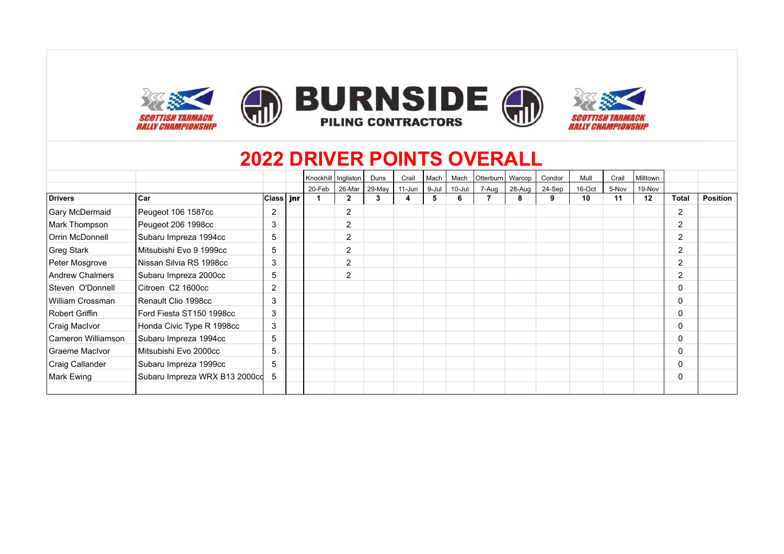

### **2022 DRIVER POINTS OVERALL**

|                    |                               |                | Knockhill   Ingliston |                | Duns   | Crail      | Mach  | Mach   | Otterburn | Warcop   | Condor | Mull   | Crail | Milltown |                |                 |
|--------------------|-------------------------------|----------------|-----------------------|----------------|--------|------------|-------|--------|-----------|----------|--------|--------|-------|----------|----------------|-----------------|
|                    |                               |                | 20-Feb                | 26-Mar         | 29-May | $11 - Jun$ | 9-Jul | 10-Jul | 7-Aug     | $28-Auq$ | 24-Sep | 16-Oct | 5-Nov | 19-Nov   |                |                 |
| <b>Drivers</b>     | ∣Car                          | ∣Class∣ jnr    |                       | $\mathbf{2}$   | 3      | 4          | 5     | 6      |           | 8        | 9      | 10     | 11    | 12       | <b>Total</b>   | <b>Position</b> |
| Gary McDermaid     | Peugeot 106 1587cc            | $\overline{2}$ |                       | 2              |        |            |       |        |           |          |        |        |       |          | 2              |                 |
| Mark Thompson      | Peugeot 206 1998cc            | 3              |                       | 2              |        |            |       |        |           |          |        |        |       |          | 2              |                 |
| Orrin McDonnell    | Subaru Impreza 1994cc         | 5              |                       | 2              |        |            |       |        |           |          |        |        |       |          | $\overline{2}$ |                 |
| Greg Stark         | Mitsubishi Evo 9 1999cc       | 5              |                       | $\overline{2}$ |        |            |       |        |           |          |        |        |       |          | $\overline{2}$ |                 |
| Peter Mosgrove     | l Nissan Silvia RS 1998cc     | 3              |                       | $\overline{2}$ |        |            |       |        |           |          |        |        |       |          | $\overline{2}$ |                 |
| Andrew Chalmers    | Subaru Impreza 2000cc         | 5              |                       | 2              |        |            |       |        |           |          |        |        |       |          | $\overline{2}$ |                 |
| Steven O'Donnell   | Citroen C2 1600cc             | $\overline{2}$ |                       |                |        |            |       |        |           |          |        |        |       |          | 0              |                 |
| William Crossman   | l Renault Clio 1998cc         | 3              |                       |                |        |            |       |        |           |          |        |        |       |          | 0              |                 |
| Robert Griffin     | Ford Fiesta ST150 1998cc      | 3              |                       |                |        |            |       |        |           |          |        |        |       |          | 0              |                 |
| Craig MacIvor      | Honda Civic Type R 1998cc     | 3              |                       |                |        |            |       |        |           |          |        |        |       |          | $\Omega$       |                 |
| Cameron Williamson | Subaru Impreza 1994cc         | 5              |                       |                |        |            |       |        |           |          |        |        |       |          | $\Omega$       |                 |
| Graeme MacIvor     | l Mitsubishi Evo 2000cc       | 5              |                       |                |        |            |       |        |           |          |        |        |       |          | $\Omega$       |                 |
| Craig Callander    | Subaru Impreza 1999cc         | 5              |                       |                |        |            |       |        |           |          |        |        |       |          | $\Omega$       |                 |
| Mark Ewing         | Subaru Impreza WRX B13 2000cd | 5              |                       |                |        |            |       |        |           |          |        |        |       |          | 0              |                 |
|                    |                               |                |                       |                |        |            |       |        |           |          |        |        |       |          |                |                 |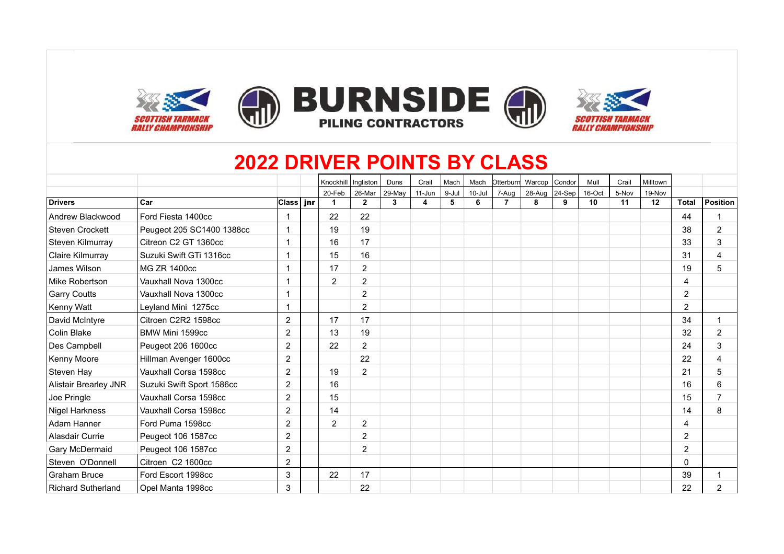

# **2022 DRIVER POINTS BY CLASS**

|                              |                           |                | Knockhill   Ingliston |                | Duns   | Crail  | Mach  | Mach   | Otterburn      | Warcop | Condor | Mull   | Crail | Milltown |                |                         |
|------------------------------|---------------------------|----------------|-----------------------|----------------|--------|--------|-------|--------|----------------|--------|--------|--------|-------|----------|----------------|-------------------------|
|                              |                           |                | 20-Feb                | 26-Mar         | 29-May | 11-Jun | 9-Jul | 10-Jul | 7-Aug          | 28-Aug | 24-Sep | 16-Oct | 5-Nov | 19-Nov   |                |                         |
| <b>Drivers</b>               | <b>Car</b>                | $ Class $ jnr  | $\mathbf 1$           | $\overline{2}$ | 3      | 4      | 5     | 6      | $\overline{7}$ | 8      | 9      | 10     | 11    | 12       | <b>Total</b>   | Position                |
| Andrew Blackwood             | Ford Fiesta 1400cc        |                | 22                    | 22             |        |        |       |        |                |        |        |        |       |          | 44             |                         |
| <b>Steven Crockett</b>       | Peugeot 205 SC1400 1388cc | 1              | 19                    | 19             |        |        |       |        |                |        |        |        |       |          | 38             | 2                       |
| Steven Kilmurray             | Citreon C2 GT 1360cc      | $\mathbf 1$    | 16                    | 17             |        |        |       |        |                |        |        |        |       |          | 33             | 3                       |
| Claire Kilmurray             | Suzuki Swift GTi 1316cc   |                | 15                    | 16             |        |        |       |        |                |        |        |        |       |          | 31             | 4                       |
| James Wilson                 | MG ZR 1400cc              |                | 17                    | $\overline{2}$ |        |        |       |        |                |        |        |        |       |          | 19             | 5                       |
| Mike Robertson               | Vauxhall Nova 1300cc      |                | $\overline{2}$        | $\overline{2}$ |        |        |       |        |                |        |        |        |       |          | 4              |                         |
| <b>Garry Coutts</b>          | Vauxhall Nova 1300cc      |                |                       | $\overline{2}$ |        |        |       |        |                |        |        |        |       |          | 2              |                         |
| Kenny Watt                   | Leyland Mini 1275cc       | 1              |                       | $\overline{2}$ |        |        |       |        |                |        |        |        |       |          | $\overline{2}$ |                         |
| David McIntyre               | Citroen C2R2 1598cc       | $\overline{2}$ | 17                    | 17             |        |        |       |        |                |        |        |        |       |          | 34             | $\overline{\mathbf{1}}$ |
| Colin Blake                  | BMW Mini 1599cc           | 2              | 13                    | 19             |        |        |       |        |                |        |        |        |       |          | 32             | 2                       |
| Des Campbell                 | Peugeot 206 1600cc        | $\overline{2}$ | 22                    | $\overline{2}$ |        |        |       |        |                |        |        |        |       |          | 24             | 3                       |
| Kenny Moore                  | Hillman Avenger 1600cc    | $\overline{2}$ |                       | 22             |        |        |       |        |                |        |        |        |       |          | 22             | 4                       |
| Steven Hay                   | Vauxhall Corsa 1598cc     | $\overline{2}$ | 19                    | $\overline{2}$ |        |        |       |        |                |        |        |        |       |          | 21             | 5                       |
| <b>Alistair Brearley JNR</b> | Suzuki Swift Sport 1586cc | 2              | 16                    |                |        |        |       |        |                |        |        |        |       |          | 16             | 6                       |
| Joe Pringle                  | Vauxhall Corsa 1598cc     | 2              | 15                    |                |        |        |       |        |                |        |        |        |       |          | 15             | 7                       |
| Nigel Harkness               | Vauxhall Corsa 1598cc     | 2              | 14                    |                |        |        |       |        |                |        |        |        |       |          | 14             | 8                       |
| Adam Hanner                  | Ford Puma 1598cc          | 2              | 2                     | 2              |        |        |       |        |                |        |        |        |       |          | 4              |                         |
| Alasdair Currie              | Peugeot 106 1587cc        | $\overline{c}$ |                       | $\overline{2}$ |        |        |       |        |                |        |        |        |       |          | $\overline{2}$ |                         |
| Gary McDermaid               | Peugeot 106 1587cc        | $\overline{c}$ |                       | $\overline{c}$ |        |        |       |        |                |        |        |        |       |          | $\overline{2}$ |                         |
| Steven O'Donnell             | Citroen C2 1600cc         | $\overline{2}$ |                       |                |        |        |       |        |                |        |        |        |       |          | $\Omega$       |                         |
| <b>Graham Bruce</b>          | Ford Escort 1998cc        | 3              | 22                    | 17             |        |        |       |        |                |        |        |        |       |          | 39             |                         |
| <b>Richard Sutherland</b>    | Opel Manta 1998cc         | 3              |                       | 22             |        |        |       |        |                |        |        |        |       |          | 22             | 2                       |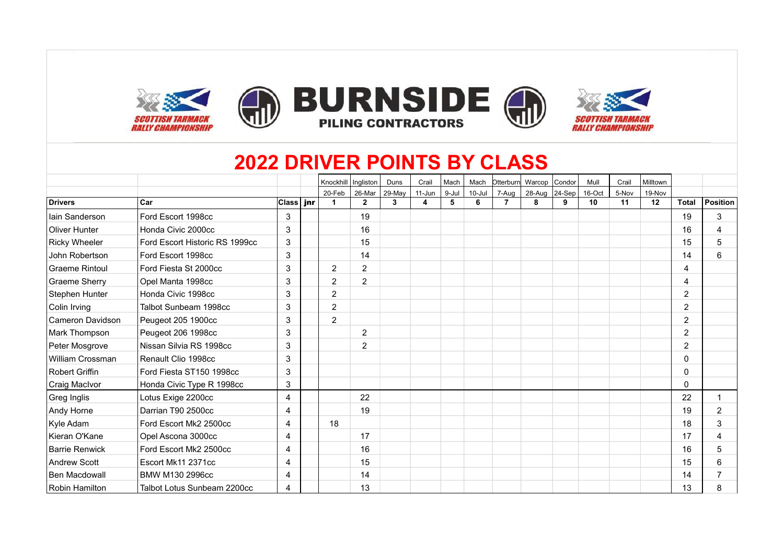

# **2022 DRIVER POINTS BY CLASS**

|                       |                                |                  | Knockhill   Ingliston |                | Duns   | Crail    | Mach  | Mach   | Otterburn Warcop |        | Condor | Mull   | Crail | Milltown |                |                 |
|-----------------------|--------------------------------|------------------|-----------------------|----------------|--------|----------|-------|--------|------------------|--------|--------|--------|-------|----------|----------------|-----------------|
|                       |                                |                  | 20-Feb                | 26-Mar         | 29-May | $11-Jun$ | 9-Jul | 10-Jul | 7-Aug            | 28-Aug | 24-Sep | 16-Oct | 5-Nov | 19-Nov   |                |                 |
| <b>Drivers</b>        | <b>Car</b>                     | <b>Class</b> inr | $\blacktriangleleft$  | $\overline{2}$ | 3      | 4        | 5     | 6      | $\overline{7}$   | 8      | 9      | 10     | 11    | 12       | Total          | <b>Position</b> |
| lain Sanderson        | Ford Escort 1998cc             | 3                |                       | 19             |        |          |       |        |                  |        |        |        |       |          | 19             | 3               |
| Oliver Hunter         | Honda Civic 2000cc             | 3                |                       | 16             |        |          |       |        |                  |        |        |        |       |          | 16             | 4               |
| <b>Ricky Wheeler</b>  | Ford Escort Historic RS 1999cc | 3                |                       | 15             |        |          |       |        |                  |        |        |        |       |          | 15             | 5               |
| John Robertson        | Ford Escort 1998cc             | 3                |                       | 14             |        |          |       |        |                  |        |        |        |       |          | 14             | 6               |
| <b>Graeme Rintoul</b> | Ford Fiesta St 2000cc          | 3                | $\overline{2}$        | $\overline{2}$ |        |          |       |        |                  |        |        |        |       |          | 4              |                 |
| <b>Graeme Sherry</b>  | Opel Manta 1998cc              | 3                | $\overline{2}$        | $\overline{2}$ |        |          |       |        |                  |        |        |        |       |          | 4              |                 |
| Stephen Hunter        | Honda Civic 1998cc             | 3                | $\overline{2}$        |                |        |          |       |        |                  |        |        |        |       |          | $\overline{c}$ |                 |
| Colin Irving          | Talbot Sunbeam 1998cc          | 3                | $\overline{2}$        |                |        |          |       |        |                  |        |        |        |       |          | $\overline{2}$ |                 |
| Cameron Davidson      | Peugeot 205 1900cc             | 3                | $\overline{2}$        |                |        |          |       |        |                  |        |        |        |       |          | $\overline{2}$ |                 |
| Mark Thompson         | Peugeot 206 1998cc             | 3                |                       | $\overline{2}$ |        |          |       |        |                  |        |        |        |       |          | $\overline{2}$ |                 |
| Peter Mosgrove        | Nissan Silvia RS 1998cc        | 3                |                       | $\overline{2}$ |        |          |       |        |                  |        |        |        |       |          | $\overline{2}$ |                 |
| William Crossman      | Renault Clio 1998cc            | 3                |                       |                |        |          |       |        |                  |        |        |        |       |          | 0              |                 |
| <b>Robert Griffin</b> | Ford Fiesta ST150 1998cc       | 3                |                       |                |        |          |       |        |                  |        |        |        |       |          | 0              |                 |
| Craig MacIvor         | Honda Civic Type R 1998cc      | 3                |                       |                |        |          |       |        |                  |        |        |        |       |          | 0              |                 |
| Greg Inglis           | Lotus Exige 2200cc             | 4                |                       | 22             |        |          |       |        |                  |        |        |        |       |          | 22             |                 |
| Andy Horne            | Darrian T90 2500cc             | 4                |                       | 19             |        |          |       |        |                  |        |        |        |       |          | 19             | 2               |
| Kyle Adam             | Ford Escort Mk2 2500cc         | 4                | 18                    |                |        |          |       |        |                  |        |        |        |       |          | 18             | 3               |
| Kieran O'Kane         | Opel Ascona 3000cc             | 4                |                       | 17             |        |          |       |        |                  |        |        |        |       |          | 17             | 4               |
| <b>Barrie Renwick</b> | Ford Escort Mk2 2500cc         | 4                |                       | 16             |        |          |       |        |                  |        |        |        |       |          | 16             | 5               |
| <b>Andrew Scott</b>   | Escort Mk11 2371cc             | 4                |                       | 15             |        |          |       |        |                  |        |        |        |       |          | 15             | 6               |
| Ben Macdowall         | BMW M130 2996cc                | 4                |                       | 14             |        |          |       |        |                  |        |        |        |       |          | 14             | 7               |
| Robin Hamilton        | Talbot Lotus Sunbeam 2200cc    | 4                |                       | 13             |        |          |       |        |                  |        |        |        |       |          | 13             | 8               |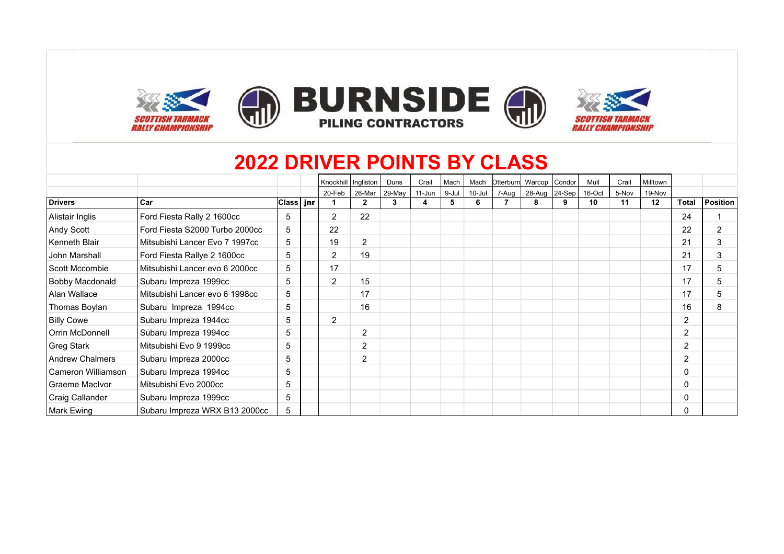

# **2022 DRIVER POINTS BY CLASS**

|                        |                                |                          | Knockhill   Ingliston |                | Duns   | Crail      | Mach  | Mach   | Otterburn | Warcop        | Condor | Mull   | Crail | Milltown |              |                |
|------------------------|--------------------------------|--------------------------|-----------------------|----------------|--------|------------|-------|--------|-----------|---------------|--------|--------|-------|----------|--------------|----------------|
|                        |                                |                          | 20-Feb                | 26-Mar         | 29-May | $11 - Jun$ | 9-Jul | 10-Jul | 7-Aug     | 28-Aug 24-Sep |        | 16-Oct | 5-Nov | 19-Nov   |              |                |
| <b>Drivers</b>         | Car                            | <b>Class</b> <i>i</i> nr |                       | $\mathbf{2}$   | 3      | 4          |       | 6      |           | 8             | 9      | 10     | 11    | 12       | <b>Total</b> | Position       |
| Alistair Inglis        | Ford Fiesta Rally 2 1600cc     | 5                        | $\overline{2}$        | 22             |        |            |       |        |           |               |        |        |       |          | 24           |                |
| Andy Scott             | Ford Fiesta S2000 Turbo 2000cc | 5                        | 22                    |                |        |            |       |        |           |               |        |        |       |          | 22           | $\overline{2}$ |
| Kenneth Blair          | Mitsubishi Lancer Evo 7 1997cc | 5                        | 19                    | $\overline{2}$ |        |            |       |        |           |               |        |        |       |          | 21           | 3              |
| John Marshall          | Ford Fiesta Rallye 2 1600cc    | 5                        | $\overline{2}$        | 19             |        |            |       |        |           |               |        |        |       |          | 21           | 3              |
| Scott Mccombie         | Mitsubishi Lancer evo 6 2000cc | 5                        | 17                    |                |        |            |       |        |           |               |        |        |       |          | 17           | 5              |
| Bobby Macdonald        | Subaru Impreza 1999cc          | 5                        | $\overline{2}$        | 15             |        |            |       |        |           |               |        |        |       |          | 17           | 5              |
| Alan Wallace           | Mitsubishi Lancer evo 6 1998cc | 5                        |                       | 17             |        |            |       |        |           |               |        |        |       |          | 17           | 5              |
| Thomas Boylan          | Subaru Impreza 1994cc          | 5                        |                       | 16             |        |            |       |        |           |               |        |        |       |          | 16           | 8              |
| <b>Billy Cowe</b>      | Subaru Impreza 1944cc          | 5                        | $\overline{2}$        |                |        |            |       |        |           |               |        |        |       |          | 2            |                |
| Orrin McDonnell        | Subaru Impreza 1994cc          | 5                        |                       | $\overline{2}$ |        |            |       |        |           |               |        |        |       |          | 2            |                |
| <b>Greg Stark</b>      | Mitsubishi Evo 9 1999cc        | 5                        |                       | $\overline{2}$ |        |            |       |        |           |               |        |        |       |          | 2            |                |
| <b>Andrew Chalmers</b> | Subaru Impreza 2000cc          | 5                        |                       | $\overline{2}$ |        |            |       |        |           |               |        |        |       |          | 2            |                |
| Cameron Williamson     | Subaru Impreza 1994cc          | 5                        |                       |                |        |            |       |        |           |               |        |        |       |          | 0            |                |
| Graeme MacIvor         | Mitsubishi Evo 2000cc          | 5                        |                       |                |        |            |       |        |           |               |        |        |       |          | 0            |                |
| Craig Callander        | Subaru Impreza 1999cc          | 5                        |                       |                |        |            |       |        |           |               |        |        |       |          | 0            |                |
| Mark Ewing             | Subaru Impreza WRX B13 2000cc  | 5                        |                       |                |        |            |       |        |           |               |        |        |       |          |              |                |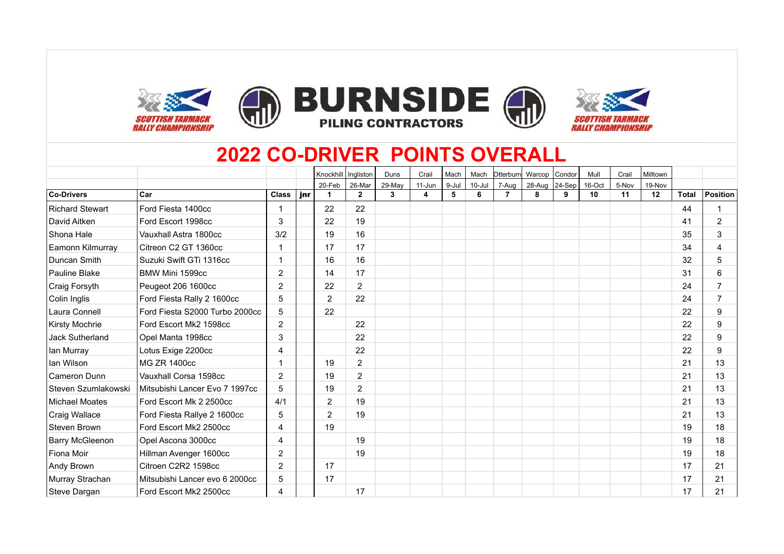







### **2022 CO-DRIVER POINTS OVERALL**

|                     |                                |                |     | Knockhill            | Ingliston      | Duns   | Crail  | Mach  | Mach       | Otterburn      | Warcop Condor |            | Mull   | Crail | Milltown |              |                |
|---------------------|--------------------------------|----------------|-----|----------------------|----------------|--------|--------|-------|------------|----------------|---------------|------------|--------|-------|----------|--------------|----------------|
|                     |                                |                |     | 20-Feb               | 26-Mar         | 29-May | 11-Jun | 9-Jul | $10 -$ Jul | 7-Aug          | 28-Aug        | $ 24-Sep $ | 16-Oct | 5-Nov | 19-Nov   |              |                |
| <b>Co-Drivers</b>   | Car                            | <b>Class</b>   | jnr | $\blacktriangleleft$ | $\mathbf{2}$   | 3      | 4      | 5     | 6          | $\overline{7}$ | 8             | 9          | 10     | 11    | 12       | <b>Total</b> | Position       |
| Richard Stewart     | Ford Fiesta 1400cc             |                |     | 22                   | 22             |        |        |       |            |                |               |            |        |       |          | 44           |                |
| David Aitken        | Ford Escort 1998cc             | 3              |     | 22                   | 19             |        |        |       |            |                |               |            |        |       |          | 41           | 2              |
| Shona Hale          | Vauxhall Astra 1800cc          | 3/2            |     | 19                   | 16             |        |        |       |            |                |               |            |        |       |          | 35           | 3              |
| Eamonn Kilmurray    | Citreon C2 GT 1360cc           |                |     | 17                   | 17             |        |        |       |            |                |               |            |        |       |          | 34           | $\overline{4}$ |
| Duncan Smith        | Suzuki Swift GTi 1316cc        |                |     | 16                   | 16             |        |        |       |            |                |               |            |        |       |          | 32           | 5              |
| Pauline Blake       | BMW Mini 1599cc                | $\overline{2}$ |     | 14                   | 17             |        |        |       |            |                |               |            |        |       |          | 31           | 6              |
| Craig Forsyth       | Peugeot 206 1600cc             | $\overline{2}$ |     | 22                   | $\overline{2}$ |        |        |       |            |                |               |            |        |       |          | 24           |                |
| Colin Inglis        | Ford Fiesta Rally 2 1600cc     | 5              |     | $\overline{2}$       | 22             |        |        |       |            |                |               |            |        |       |          | 24           | $\overline{7}$ |
| Laura Connell       | Ford Fiesta S2000 Turbo 2000cc | 5              |     | 22                   |                |        |        |       |            |                |               |            |        |       |          | 22           | 9              |
| Kirsty Mochrie      | Ford Escort Mk2 1598cc         | 2              |     |                      | 22             |        |        |       |            |                |               |            |        |       |          | 22           | 9              |
| Jack Sutherland     | Opel Manta 1998cc              | 3              |     |                      | 22             |        |        |       |            |                |               |            |        |       |          | 22           | 9              |
| lan Murray          | Lotus Exige 2200cc             | 4              |     |                      | 22             |        |        |       |            |                |               |            |        |       |          | 22           | 9              |
| lan Wilson          | <b>MG ZR 1400cc</b>            |                |     | 19                   | $\overline{2}$ |        |        |       |            |                |               |            |        |       |          | 21           | 13             |
| Cameron Dunn        | Vauxhall Corsa 1598cc          | 2              |     | 19                   | $\overline{2}$ |        |        |       |            |                |               |            |        |       |          | 21           | 13             |
| Steven Szumlakowski | Mitsubishi Lancer Evo 7 1997cc | 5              |     | 19                   | $\overline{2}$ |        |        |       |            |                |               |            |        |       |          | 21           | 13             |
| Michael Moates      | Ford Escort Mk 2 2500cc        | 4/1            |     | $\overline{2}$       | 19             |        |        |       |            |                |               |            |        |       |          | 21           | 13             |
| Craig Wallace       | Ford Fiesta Rallye 2 1600cc    | 5              |     | $\overline{2}$       | 19             |        |        |       |            |                |               |            |        |       |          | 21           | 13             |
| Steven Brown        | Ford Escort Mk2 2500cc         | 4              |     | 19                   |                |        |        |       |            |                |               |            |        |       |          | 19           | 18             |
| Barry McGleenon     | Opel Ascona 3000cc             | 4              |     |                      | 19             |        |        |       |            |                |               |            |        |       |          | 19           | 18             |
| l Fiona Moir        | Hillman Avenger 1600cc         | $\overline{2}$ |     |                      | 19             |        |        |       |            |                |               |            |        |       |          | 19           | 18             |
| Andy Brown          | Citroen C2R2 1598cc            | $\overline{2}$ |     | 17                   |                |        |        |       |            |                |               |            |        |       |          | 17           | 21             |
| Murray Strachan     | Mitsubishi Lancer evo 6 2000cc | 5              |     | 17                   |                |        |        |       |            |                |               |            |        |       |          | 17           | 21             |
| Steve Dargan        | Ford Escort Mk2 2500cc         | 4              |     |                      | 17             |        |        |       |            |                |               |            |        |       |          | 17           | 21             |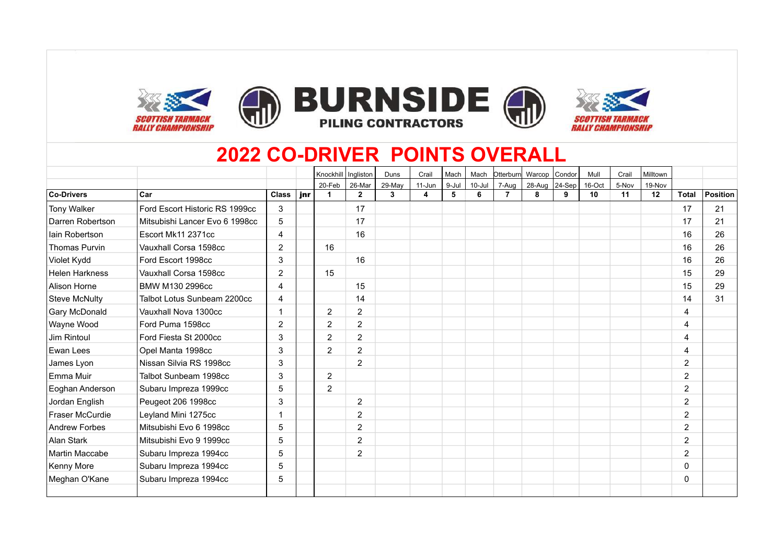







## **2022 CO-DRIVER POINTS OVERALL**

|                       |                                |                |     | Knockhill            | Ingliston      | Duns   | Crail  | Mach  | Mach       | Otterburn      | Warcop Condor |            | Mull   | Crail | Milltown |                |                 |
|-----------------------|--------------------------------|----------------|-----|----------------------|----------------|--------|--------|-------|------------|----------------|---------------|------------|--------|-------|----------|----------------|-----------------|
|                       |                                |                |     | 20-Feb               | 26-Mar         | 29-May | 11-Jun | 9-Jul | $10 -$ Jul | 7-Aug          | 28-Aug        | $ 24-$ Sep | 16-Oct | 5-Nov | 19-Nov   |                |                 |
| Co-Drivers            | Car                            | <b>Class</b>   | jnr | $\blacktriangleleft$ | $\mathbf{2}$   | 3      | 4      | 5     | 6          | $\overline{7}$ | 8             | 9          | 10     | 11    | 12       | <b>Total</b>   | <b>Position</b> |
| <b>Tony Walker</b>    | Ford Escort Historic RS 1999cc | 3              |     |                      | 17             |        |        |       |            |                |               |            |        |       |          | 17             | 21              |
| Darren Robertson      | Mitsubishi Lancer Evo 6 1998cc | 5              |     |                      | 17             |        |        |       |            |                |               |            |        |       |          | 17             | 21              |
| lain Robertson        | Escort Mk11 2371cc             | 4              |     |                      | 16             |        |        |       |            |                |               |            |        |       |          | 16             | 26              |
| Thomas Purvin         | Vauxhall Corsa 1598cc          | $\overline{2}$ |     | 16                   |                |        |        |       |            |                |               |            |        |       |          | 16             | 26              |
| Violet Kydd           | Ford Escort 1998cc             | 3              |     |                      | 16             |        |        |       |            |                |               |            |        |       |          | 16             | 26              |
| <b>Helen Harkness</b> | Vauxhall Corsa 1598cc          | $\overline{2}$ |     | 15                   |                |        |        |       |            |                |               |            |        |       |          | 15             | 29              |
| Alison Horne          | BMW M130 2996cc                | $\overline{4}$ |     |                      | 15             |        |        |       |            |                |               |            |        |       |          | 15             | 29              |
| Steve McNulty         | Talbot Lotus Sunbeam 2200cc    | 4              |     |                      | 14             |        |        |       |            |                |               |            |        |       |          | 14             | 31              |
| <b>Gary McDonald</b>  | Vauxhall Nova 1300cc           |                |     | $\overline{2}$       | $\overline{2}$ |        |        |       |            |                |               |            |        |       |          | $\overline{4}$ |                 |
| Wayne Wood            | Ford Puma 1598cc               | 2              |     | $\overline{2}$       | $\overline{2}$ |        |        |       |            |                |               |            |        |       |          | 4              |                 |
| Jim Rintoul           | Ford Fiesta St 2000cc          | 3              |     | $\overline{2}$       | $\overline{2}$ |        |        |       |            |                |               |            |        |       |          | 4              |                 |
| Ewan Lees             | Opel Manta 1998cc              | 3              |     | $\overline{2}$       | $\overline{2}$ |        |        |       |            |                |               |            |        |       |          | $\overline{4}$ |                 |
| James Lyon            | Nissan Silvia RS 1998cc        | 3              |     |                      | 2              |        |        |       |            |                |               |            |        |       |          | 2              |                 |
| Emma Muir             | Talbot Sunbeam 1998cc          | 3              |     | $\overline{2}$       |                |        |        |       |            |                |               |            |        |       |          | 2              |                 |
| Eoghan Anderson       | Subaru Impreza 1999cc          | 5              |     | $\overline{2}$       |                |        |        |       |            |                |               |            |        |       |          | $\overline{2}$ |                 |
| Jordan English        | Peugeot 206 1998cc             | 3              |     |                      | $\overline{2}$ |        |        |       |            |                |               |            |        |       |          | 2              |                 |
| Fraser McCurdie       | Leyland Mini 1275cc            |                |     |                      | $\overline{2}$ |        |        |       |            |                |               |            |        |       |          | $\overline{2}$ |                 |
| Andrew Forbes         | Mitsubishi Evo 6 1998cc        | 5              |     |                      | $\overline{2}$ |        |        |       |            |                |               |            |        |       |          | $\overline{2}$ |                 |
| Alan Stark            | Mitsubishi Evo 9 1999cc        | 5              |     |                      | $\overline{2}$ |        |        |       |            |                |               |            |        |       |          | 2              |                 |
| Martin Maccabe        | Subaru Impreza 1994cc          | 5              |     |                      | 2              |        |        |       |            |                |               |            |        |       |          | 2              |                 |
| Kenny More            | Subaru Impreza 1994cc          | 5              |     |                      |                |        |        |       |            |                |               |            |        |       |          | $\mathbf{0}$   |                 |
| Meghan O'Kane         | Subaru Impreza 1994cc          | 5              |     |                      |                |        |        |       |            |                |               |            |        |       |          | $\mathbf{0}$   |                 |
|                       |                                |                |     |                      |                |        |        |       |            |                |               |            |        |       |          |                |                 |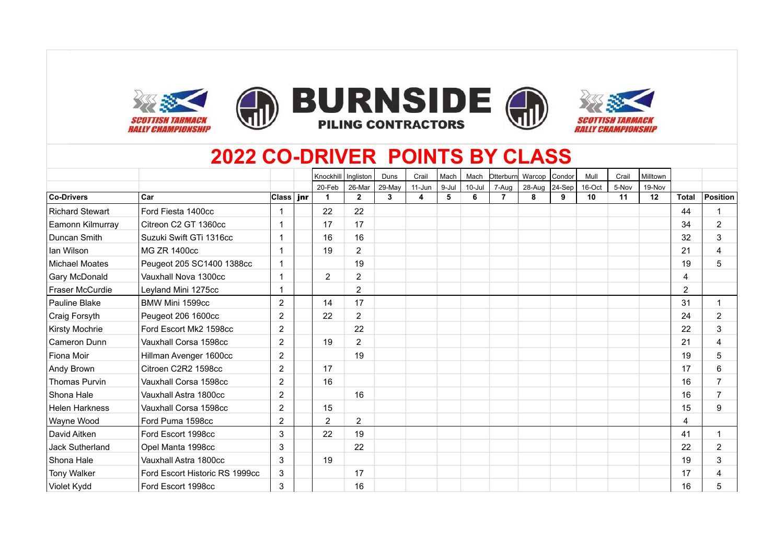









## **2022 CO-DRIVER POINTS BY CLASS**

|                        |                                |                | Knockhill      | Ingliston      | Duns   | Crail  | Mach  | Mach       | Otterburn      | Warcop        | Condor | Mull   | Crail | Milltown |              |                |
|------------------------|--------------------------------|----------------|----------------|----------------|--------|--------|-------|------------|----------------|---------------|--------|--------|-------|----------|--------------|----------------|
|                        |                                |                | 20-Feb         | 26-Mar         | 29-May | 11-Jun | 9-Jul | $10 -$ Jul | 7-Aug          | 28-Aug 24-Sep |        | 16-Oct | 5-Nov | 19-Nov   |              |                |
| <b>Co-Drivers</b>      | Car                            | ∣Class ∣ jnr   |                | $\mathbf{2}$   | 3      | 4      | 5     | 6          | $\overline{7}$ | 8             | 9      | 10     | 11    | 12       | <b>Total</b> | Position       |
| <b>Richard Stewart</b> | Ford Fiesta 1400cc             |                | 22             | 22             |        |        |       |            |                |               |        |        |       |          | 44           | -1             |
| Eamonn Kilmurray       | Citreon C2 GT 1360cc           |                | 17             | 17             |        |        |       |            |                |               |        |        |       |          | 34           | $\overline{2}$ |
| Duncan Smith           | Suzuki Swift GTi 1316cc        |                | 16             | 16             |        |        |       |            |                |               |        |        |       |          | 32           | 3              |
| lan Wilson             | MG ZR 1400cc                   |                | 19             | $\overline{2}$ |        |        |       |            |                |               |        |        |       |          | 21           | 4              |
| <b>Michael Moates</b>  | Peugeot 205 SC1400 1388cc      |                |                | 19             |        |        |       |            |                |               |        |        |       |          | 19           | 5              |
| Gary McDonald          | Vauxhall Nova 1300cc           |                | $\overline{2}$ | $\overline{2}$ |        |        |       |            |                |               |        |        |       |          | 4            |                |
| Fraser McCurdie        | Leyland Mini 1275cc            |                |                | $\overline{2}$ |        |        |       |            |                |               |        |        |       |          | 2            |                |
| Pauline Blake          | BMW Mini 1599cc                | $\overline{2}$ | 14             | 17             |        |        |       |            |                |               |        |        |       |          | 31           | 1              |
| Craig Forsyth          | Peugeot 206 1600cc             | $\overline{2}$ | 22             | $\overline{2}$ |        |        |       |            |                |               |        |        |       |          | 24           | $\overline{2}$ |
| Kirsty Mochrie         | Ford Escort Mk2 1598cc         | $\overline{2}$ |                | 22             |        |        |       |            |                |               |        |        |       |          | 22           | 3              |
| Cameron Dunn           | Vauxhall Corsa 1598cc          | $\overline{2}$ | 19             | $\overline{2}$ |        |        |       |            |                |               |        |        |       |          | 21           | 4              |
| Fiona Moir             | Hillman Avenger 1600cc         | $\overline{2}$ |                | 19             |        |        |       |            |                |               |        |        |       |          | 19           | 5              |
| Andy Brown             | Citroen C2R2 1598cc            | 2              | 17             |                |        |        |       |            |                |               |        |        |       |          | 17           | 6              |
| <b>Thomas Purvin</b>   | Vauxhall Corsa 1598cc          | $\overline{2}$ | 16             |                |        |        |       |            |                |               |        |        |       |          | 16           | 7              |
| Shona Hale             | Vauxhall Astra 1800cc          | $\overline{2}$ |                | 16             |        |        |       |            |                |               |        |        |       |          | 16           | $\overline{7}$ |
| <b>Helen Harkness</b>  | Vauxhall Corsa 1598cc          | $\overline{2}$ | 15             |                |        |        |       |            |                |               |        |        |       |          | 15           | 9              |
| Wayne Wood             | Ford Puma 1598cc               | $\overline{2}$ | $\overline{2}$ | $\overline{2}$ |        |        |       |            |                |               |        |        |       |          | 4            |                |
| David Aitken           | Ford Escort 1998cc             | 3              | 22             | 19             |        |        |       |            |                |               |        |        |       |          | 41           | $\overline{1}$ |
| Jack Sutherland        | Opel Manta 1998cc              | 3              |                | 22             |        |        |       |            |                |               |        |        |       |          | 22           | $\overline{2}$ |
| Shona Hale             | Vauxhall Astra 1800cc          | 3              | 19             |                |        |        |       |            |                |               |        |        |       |          | 19           | 3              |
| <b>Tony Walker</b>     | Ford Escort Historic RS 1999cc | 3              |                | 17             |        |        |       |            |                |               |        |        |       |          | 17           | 4              |
| Violet Kydd            | Ford Escort 1998cc             | 3              |                | 16             |        |        |       |            |                |               |        |        |       |          | 16           | 5              |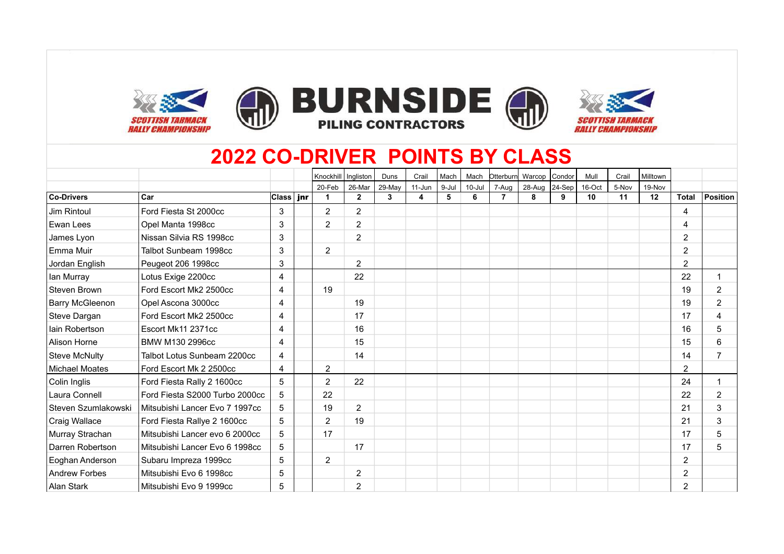









## **2022 CO-DRIVER POINTS BY CLASS**

|                        |                                |                | Knockhill      | Ingliston      | Duns   | Crail      | Mach  | Mach       | Otterburn      | Warcop Condor    |   | Mull   | Crail | Milltown |                |                 |
|------------------------|--------------------------------|----------------|----------------|----------------|--------|------------|-------|------------|----------------|------------------|---|--------|-------|----------|----------------|-----------------|
|                        |                                |                | 20-Feb         | 26-Mar         | 29-May | $11 - Jun$ | 9-Jul | $10 -$ Jul | 7-Aug          | 28-Aug $24$ -Sep |   | 16-Oct | 5-Nov | 19-Nov   |                |                 |
| Co-Drivers             | Car                            | $ Class $ jnr  |                | $\mathbf{2}$   | 3      | 4          | 5     | 6          | $\overline{7}$ | 8                | 9 | 10     | 11    | 12       | Total          | <b>Position</b> |
| Jim Rintoul            | Ford Fiesta St 2000cc          | 3              | $\overline{2}$ | $\mathbf{2}$   |        |            |       |            |                |                  |   |        |       |          | 4              |                 |
| Ewan Lees              | Opel Manta 1998cc              | 3              | $\overline{2}$ | $\overline{2}$ |        |            |       |            |                |                  |   |        |       |          | 4              |                 |
| James Lyon             | Nissan Silvia RS 1998cc        | 3              |                | $\overline{2}$ |        |            |       |            |                |                  |   |        |       |          | $\overline{2}$ |                 |
| l Emma Muir            | Talbot Sunbeam 1998cc          | 3              | $\overline{2}$ |                |        |            |       |            |                |                  |   |        |       |          | $\overline{2}$ |                 |
| Jordan English         | Peugeot 206 1998cc             | 3              |                | $\overline{2}$ |        |            |       |            |                |                  |   |        |       |          | $\overline{2}$ |                 |
| lan Murray             | Lotus Exige 2200cc             | 4              |                | 22             |        |            |       |            |                |                  |   |        |       |          | 22             |                 |
| Steven Brown           | Ford Escort Mk2 2500cc         | 4              | 19             |                |        |            |       |            |                |                  |   |        |       |          | 19             | 2               |
| <b>Barry McGleenon</b> | Opel Ascona 3000cc             | 4              |                | 19             |        |            |       |            |                |                  |   |        |       |          | 19             | $\overline{2}$  |
| Steve Dargan           | Ford Escort Mk2 2500cc         | 4              |                | 17             |        |            |       |            |                |                  |   |        |       |          | 17             | $\overline{4}$  |
| lain Robertson         | Escort Mk11 2371cc             | 4              |                | 16             |        |            |       |            |                |                  |   |        |       |          | 16             | 5               |
| Alison Horne           | BMW M130 2996cc                | 4              |                | 15             |        |            |       |            |                |                  |   |        |       |          | 15             | 6               |
| <b>Steve McNulty</b>   | Talbot Lotus Sunbeam 2200cc    | 4              |                | 14             |        |            |       |            |                |                  |   |        |       |          | 14             |                 |
| <b>Michael Moates</b>  | Ford Escort Mk 2 2500cc        | $\overline{4}$ | $\overline{2}$ |                |        |            |       |            |                |                  |   |        |       |          | $\overline{2}$ |                 |
| Colin Inglis           | Ford Fiesta Rally 2 1600cc     | 5              | $\overline{2}$ | 22             |        |            |       |            |                |                  |   |        |       |          | 24             |                 |
| Laura Connell          | Ford Fiesta S2000 Turbo 2000cc | 5              | 22             |                |        |            |       |            |                |                  |   |        |       |          | 22             | $\overline{2}$  |
| Steven Szumlakowski    | Mitsubishi Lancer Evo 7 1997cc | 5              | 19             | $\overline{2}$ |        |            |       |            |                |                  |   |        |       |          | 21             | 3               |
| Craig Wallace          | Ford Fiesta Rallye 2 1600cc    | 5              | $\overline{2}$ | 19             |        |            |       |            |                |                  |   |        |       |          | 21             | 3               |
| Murray Strachan        | Mitsubishi Lancer evo 6 2000cc | 5              | 17             |                |        |            |       |            |                |                  |   |        |       |          | 17             | 5               |
| Darren Robertson       | Mitsubishi Lancer Evo 6 1998cc | 5              |                | 17             |        |            |       |            |                |                  |   |        |       |          | 17             | 5               |
| Eoghan Anderson        | Subaru Impreza 1999cc          | 5              | $\overline{2}$ |                |        |            |       |            |                |                  |   |        |       |          | $\overline{2}$ |                 |
| <b>Andrew Forbes</b>   | Mitsubishi Evo 6 1998cc        | 5              |                | $\overline{2}$ |        |            |       |            |                |                  |   |        |       |          | $\overline{2}$ |                 |
| Alan Stark             | Mitsubishi Evo 9 1999cc        | 5              |                | $\overline{2}$ |        |            |       |            |                |                  |   |        |       |          | $\overline{2}$ |                 |